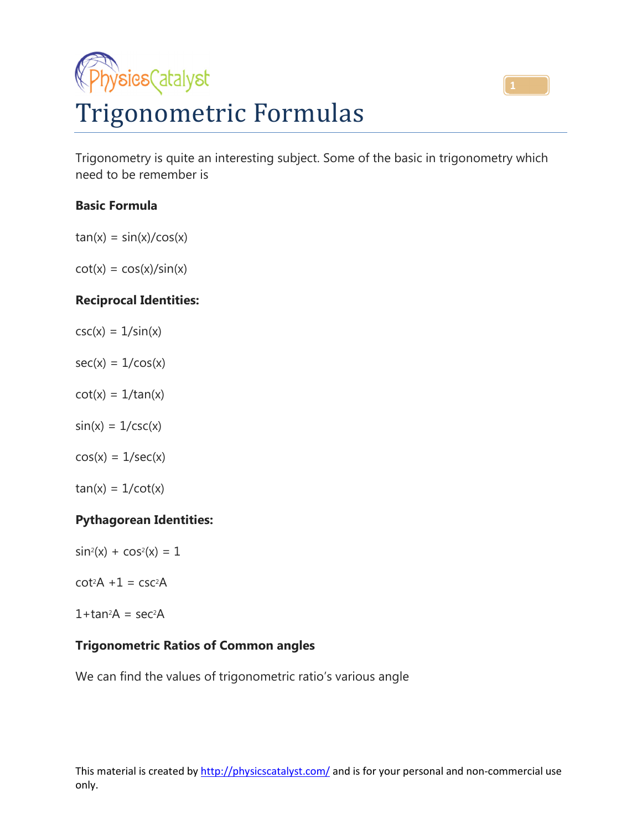



Trigonometry is quite an interesting subject. Some of the basic in trigonometry which need to be remember is

### **Basic Formula**

 $tan(x) = sin(x)/cos(x)$ 

 $cot(x) = cos(x)/sin(x)$ 

### **Reciprocal Identities:**

- $csc(x) = 1/sin(x)$
- $sec(x) = 1/cos(x)$
- $cot(x) = 1/tan(x)$
- $sin(x) = 1/csc(x)$
- $cos(x) = 1/sec(x)$
- $tan(x) = 1/cot(x)$

#### **Pythagorean Identities:**

- $sin^2(x) + cos^2(x) = 1$
- $cot<sup>2</sup>A + 1 = csc<sup>2</sup>A$
- $1 + tan^2A = sec^2A$

#### **Trigonometric Ratios of Common angles**

We can find the values of trigonometric ratio's various angle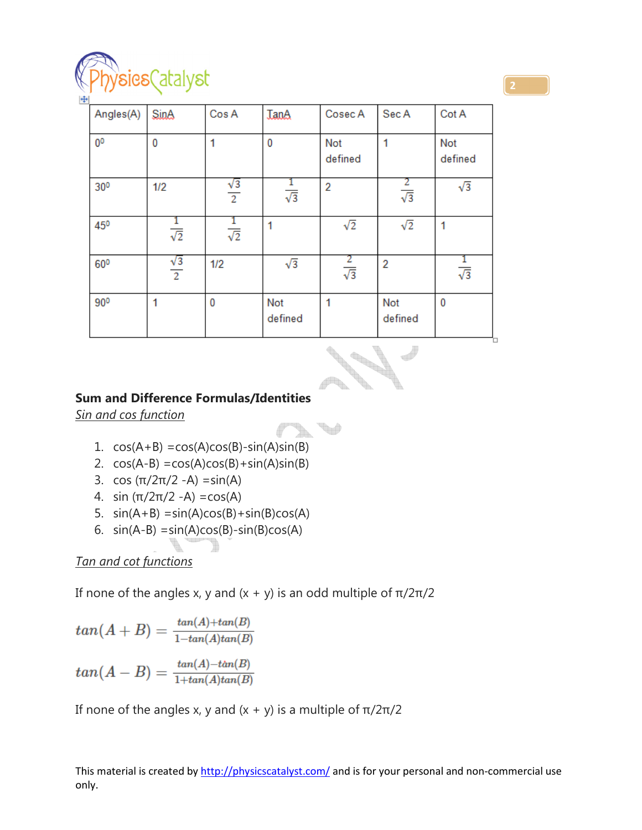

| Angles(A)      | <b>SinA</b>                | Cos A                | <b>TanA</b>    | Cosec A         | Sec A              | Cot A                 |
|----------------|----------------------------|----------------------|----------------|-----------------|--------------------|-----------------------|
| 0 <sup>0</sup> | 0                          |                      | 0              | Not<br>defined  |                    | <b>Not</b><br>defined |
| 300            | 1/2                        | $\frac{\sqrt{3}}{2}$ | $\sqrt{3}$     | $\overline{2}$  | $rac{2}{\sqrt{3}}$ | $\sqrt{3}$            |
| 450            | ı<br>$\overline{\sqrt{2}}$ | $rac{1}{\sqrt{2}}$   | 1              | $\sqrt{2}$      | $\sqrt{2}$         | 1                     |
| 600            | $\frac{\sqrt{3}}{2}$       | 1/2                  | $\sqrt{3}$     | 2<br>$\sqrt{3}$ | $\overline{2}$     | $rac{1}{\sqrt{3}}$    |
| 900            | 1                          | 0                    | Not<br>defined | 1               | Not<br>defined     | 0                     |

$$
\mathcal{M}^{\prime}
$$

V

f

# **Sum and Difference Formulas/Identities**

*Sin and cos function* 

- 1.  $cos(A+B) = cos(A)cos(B) sin(A)sin(B)$
- 2.  $cos(A-B) = cos(A)cos(B) + sin(A)sin(B)$
- 3. cos ( $\pi/2\pi/2$  -A) = sin(A)
- 4. sin  $(π/2π/2 A) = cos(A)$
- 5.  $sin(A+B) = sin(A)cos(B) + sin(B)cos(A)$
- 6.  $sin(A-B) = sin(A)cos(B) sin(B)cos(A)$

## *Tan and cot functions*

If none of the angles x, y and  $(x + y)$  is an odd multiple of  $π/2π/2$ 

$$
tan(A + B) = \frac{tan(A) + tan(B)}{1 - tan(A)tan(B)}
$$
  

$$
tan(A - B) = \frac{tan(A) - tan(B)}{1 + tan(A)tan(B)}
$$

If none of the angles x, y and  $(x + y)$  is a multiple of  $π/2π/2$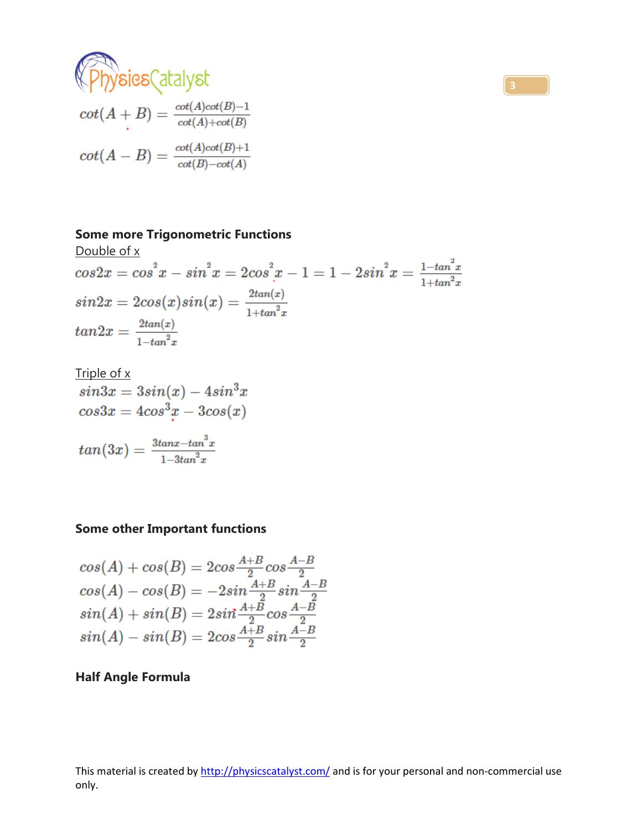

$$
cot(A + B) = \frac{cot(A)cot(B) - 1}{cot(A) + cot(B)}
$$

$$
cot(A - B) = \frac{cot(A)cot(B) + 1}{cot(B) - cot(A)}
$$

### **Some more Trigonometric Functions**

Double of x  
\n
$$
\cosh x
$$
\n
$$
\cosh x = \cos^2 x - \sin^2 x = 2\cos^2 x - 1 = 1 - 2\sin^2 x = \frac{1 - \tan^2 x}{1 + \tan^2 x}
$$
\n
$$
\sin 2x = 2\cos(x)\sin(x) = \frac{2\tan(x)}{1 + \tan^2 x}
$$
\n
$$
\tan 2x = \frac{2\tan(x)}{1 - \tan^2 x}
$$

$$
\frac{\text{Triple of x}}{\sin 3x} = 3\sin(x) - 4\sin^3 x
$$
\n
$$
\cos 3x = 4\cos^3 x - 3\cos(x)
$$
\n
$$
\tan(3x) = \frac{3\tan x - \tan^3 x}{1 - 3\tan^2 x}
$$

# **Some other Important functions**

$$
\begin{array}{l} cos(A) + cos(B) = 2 cos \frac{A+B}{2} cos \frac{A-B}{2} \\ cos(A) - cos(B) = -2 sin \frac{A+B}{2} sin \frac{A-B}{2} \\ sin(A) + sin(B) = 2 sin \frac{A+B}{2} cos \frac{A-B}{2} \\ sin(A) - sin(B) = 2 cos \frac{A+B}{2} sin \frac{A-B}{2} \end{array}
$$

# **Half Angle Formula**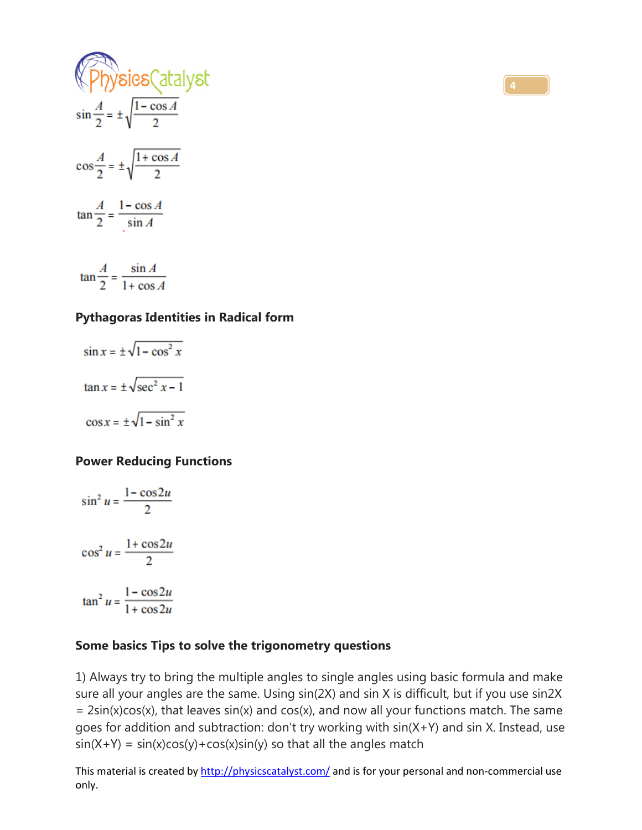

#### **Pythagoras Identities in Radical form**

$$
\sin x = \pm \sqrt{1 - \cos^2 x}
$$

$$
\tan x = \pm \sqrt{\sec^2 x - 1}
$$

$$
\cos x = \pm \sqrt{1 - \sin^2 x}
$$

#### **Power Reducing Functions**

$$
\sin^2 u = \frac{1 - \cos 2u}{2}
$$

$$
\cos^2 u = \frac{1 + \cos 2u}{2}
$$

$$
\tan^2 u = \frac{1 - \cos 2u}{1 + \cos 2u}
$$

#### **Some basics Tips to solve the trigonometry questions**

1) Always try to bring the multiple angles to single angles using basic formula and make sure all your angles are the same. Using sin(2X) and sin X is difficult, but if you use sin2X  $= 2\sin(x)\cos(x)$ , that leaves  $\sin(x)$  and  $\cos(x)$ , and now all your functions match. The same goes for addition and subtraction: don't try working with sin(X+Y) and sin X. Instead, use  $sin(X+Y) = sin(x)cos(y) + cos(x)sin(y)$  so that all the angles match

This material is created by http://physicscatalyst.com/ and is for your personal and non-commercial use only.